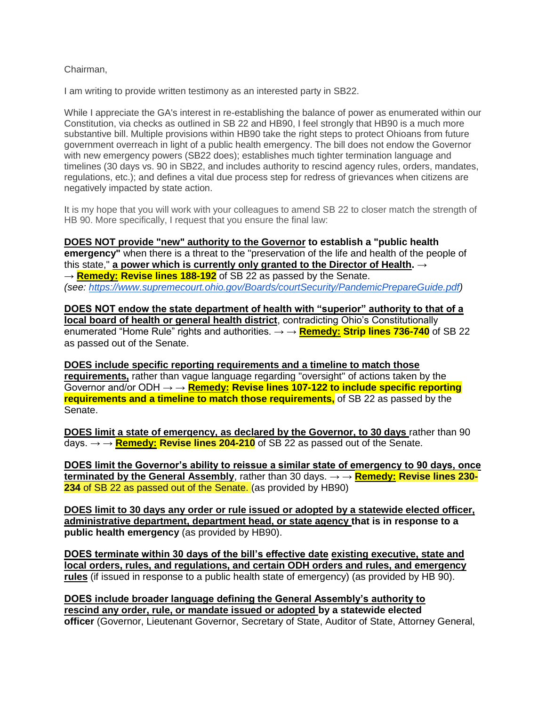## Chairman,

I am writing to provide written testimony as an interested party in SB22.

While I appreciate the GA's interest in re-establishing the balance of power as enumerated within our Constitution, via checks as outlined in SB 22 and HB90, I feel strongly that HB90 is a much more substantive bill. Multiple provisions within HB90 take the right steps to protect Ohioans from future government overreach in light of a public health emergency. The bill does not endow the Governor with new emergency powers (SB22 does); establishes much tighter termination language and timelines (30 days vs. 90 in SB22, and includes authority to rescind agency rules, orders, mandates, regulations, etc.); and defines a vital due process step for redress of grievances when citizens are negatively impacted by state action.

It is my hope that you will work with your colleagues to amend SB 22 to closer match the strength of HB 90. More specifically, I request that you ensure the final law:

**DOES NOT provide "new" authority to the Governor to establish a "public health emergency"** when there is a threat to the "preservation of the life and health of the people of this state," **a power which is currently only granted to the Director of Health.** → → **Remedy: Revise lines 188-192** of SB 22 as passed by the Senate. *(see: [https://www.supremecourt.ohio.gov/Boards/courtSecurity/PandemicPrepareGuide.pdf\)](https://urldefense.com/v3/__https:/www.supremecourt.ohio.gov/Boards/courtSecurity/PandemicPrepareGuide.pdf__;!!AC6e5FAr!htawDWTUrN1zofhRa6OZGDNktOgwUIJLzTiOeJZCcOVD_M4b8_iKtdwdtrGBOJFKLJo$)*

**DOES NOT endow the state department of health with "superior" authority to that of a local board of health or general health district**, contradicting Ohio's Constitutionally enumerated "Home Rule" rights and authorities. → → **Remedy: Strip lines 736-740** of SB 22 as passed out of the Senate.

**DOES include specific reporting requirements and a timeline to match those requirements,** rather than vague language regarding "oversight" of actions taken by the Governor and/or ODH → → **Remedy: Revise lines 107-122 to include specific reporting requirements and a timeline to match those requirements,** of SB 22 as passed by the Senate.

**DOES limit a state of emergency, as declared by the Governor, to 30 days** rather than 90  $\overline{days.} \rightarrow \overline{R}$ **Remedy: Revise lines 204-210** of SB 22 as passed out of the Senate.

**DOES limit the Governor's ability to reissue a similar state of emergency to 90 days, once terminated by the General Assembly**, rather than 30 days. → → **Remedy: Revise lines 230- 234** of SB 22 as passed out of the Senate. (as provided by HB90)

**DOES limit to 30 days any order or rule issued or adopted by a statewide elected officer, administrative department, department head, or state agency that is in response to a public health emergency** (as provided by HB90).

**DOES terminate within 30 days of the bill's effective date existing executive, state and local orders, rules, and regulations, and certain ODH orders and rules, and emergency rules** (if issued in response to a public health state of emergency) (as provided by HB 90).

**DOES include broader language defining the General Assembly's authority to rescind any order, rule, or mandate issued or adopted by a statewide elected officer** (Governor, Lieutenant Governor, Secretary of State, Auditor of State, Attorney General,